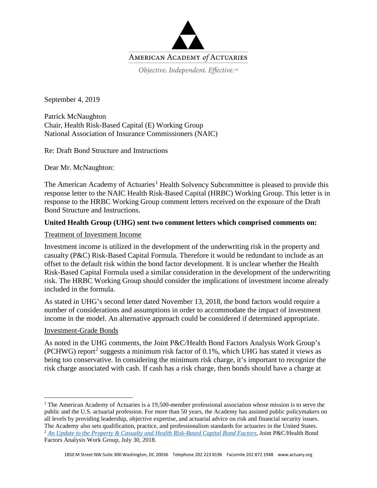

September 4, 2019

Patrick McNaughton Chair, Health Risk-Based Capital (E) Working Group National Association of Insurance Commissioners (NAIC)

Re: Draft Bond Structure and Instructions

Dear Mr. McNaughton:

The American Academy of Actuaries<sup>[1](#page-0-0)</sup> Health Solvency Subcommittee is pleased to provide this response letter to the NAIC Health Risk-Based Capital (HRBC) Working Group. This letter is in response to the HRBC Working Group comment letters received on the exposure of the Draft Bond Structure and Instructions.

# **United Health Group (UHG) sent two comment letters which comprised comments on:**

### Treatment of Investment Income

Investment income is utilized in the development of the underwriting risk in the property and casualty (P&C) Risk-Based Capital Formula. Therefore it would be redundant to include as an offset to the default risk within the bond factor development. It is unclear whether the Health Risk-Based Capital Formula used a similar consideration in the development of the underwriting risk. The HRBC Working Group should consider the implications of investment income already included in the formula.

As stated in UHG's second letter dated November 13, 2018, the bond factors would require a number of considerations and assumptions in order to accommodate the impact of investment income in the model. An alternative approach could be considered if determined appropriate.

### Investment-Grade Bonds

 $\overline{\phantom{a}}$ 

As noted in the UHG comments, the Joint P&C/Health Bond Factors Analysis Work Group's (PCHWG) report<sup>[2](#page-0-1)</sup> suggests a minimum risk factor of 0.1%, which UHG has stated it views as being too conservative. In considering the minimum risk charge, it's important to recognize the risk charge associated with cash. If cash has a risk charge, then bonds should have a charge at

<span id="page-0-1"></span><span id="page-0-0"></span><sup>&</sup>lt;sup>1</sup> The American Academy of Actuaries is a 19,500-member professional association whose mission is to serve the public and the U.S. actuarial profession. For more than 50 years, the Academy has assisted public policymakers on all levels by providing leadership, objective expertise, and actuarial advice on risk and financial security issues. The Academy also sets qualification, practice, and professionalism standards for actuaries in the United States. <sup>2</sup> *[An Update to the Property & Casualty and Health Risk-Based Capital Bond Factors](https://www.actuary.org/sites/default/files/files/publications/Report_to_NAIC_IRBC_PCRBC_HRBC_Bond_Factors_July_30.pdf)*, Joint P&C/Health Bond Factors Analysis Work Group, July 30, 2018.